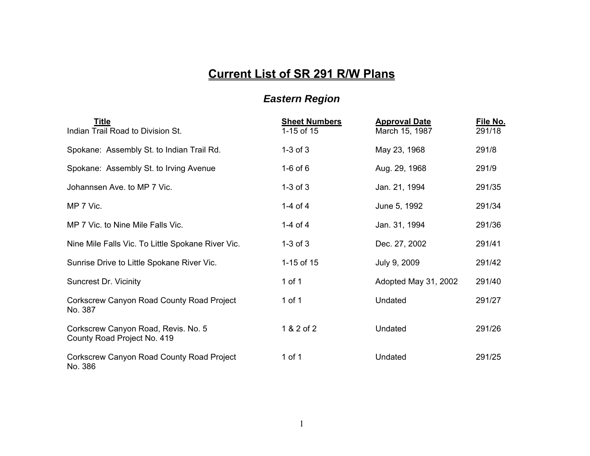## **Current List of SR 291 R/W Plans**

## *Eastern Region*

| Title<br>Indian Trail Road to Division St.                         | <b>Sheet Numbers</b><br>1-15 of 15 | <b>Approval Date</b><br>March 15, 1987 | File No.<br>291/18 |
|--------------------------------------------------------------------|------------------------------------|----------------------------------------|--------------------|
| Spokane: Assembly St. to Indian Trail Rd.                          | $1-3$ of $3$                       | May 23, 1968                           | 291/8              |
| Spokane: Assembly St. to Irving Avenue                             | $1-6$ of $6$                       | Aug. 29, 1968                          | 291/9              |
| Johannsen Ave. to MP 7 Vic.                                        | $1-3$ of $3$                       | Jan. 21, 1994                          | 291/35             |
| MP 7 Vic.                                                          | 1-4 of 4                           | June 5, 1992                           | 291/34             |
| MP 7 Vic. to Nine Mile Falls Vic.                                  | 1-4 of 4                           | Jan. 31, 1994                          | 291/36             |
| Nine Mile Falls Vic. To Little Spokane River Vic.                  | $1-3$ of $3$                       | Dec. 27, 2002                          | 291/41             |
| Sunrise Drive to Little Spokane River Vic.                         | 1-15 of 15                         | July 9, 2009                           | 291/42             |
| <b>Suncrest Dr. Vicinity</b>                                       | 1 of 1                             | Adopted May 31, 2002                   | 291/40             |
| <b>Corkscrew Canyon Road County Road Project</b><br>No. 387        | 1 of 1                             | Undated                                | 291/27             |
| Corkscrew Canyon Road, Revis. No. 5<br>County Road Project No. 419 | 1 & 2 of 2                         | Undated                                | 291/26             |
| Corkscrew Canyon Road County Road Project<br>No. 386               | 1 of 1                             | Undated                                | 291/25             |